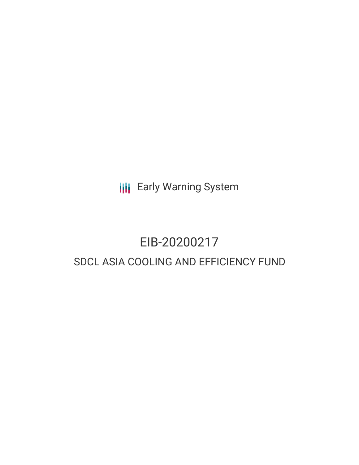**III** Early Warning System

# EIB-20200217 SDCL ASIA COOLING AND EFFICIENCY FUND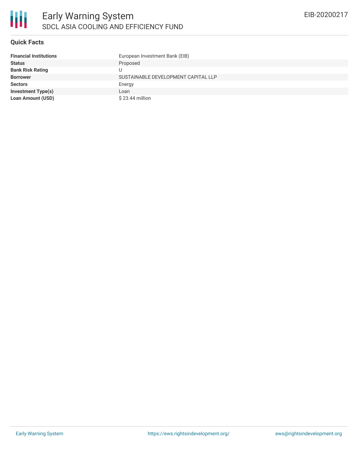

#### **Quick Facts**

| <b>Financial Institutions</b> | European Investment Bank (EIB)      |
|-------------------------------|-------------------------------------|
| <b>Status</b>                 | Proposed                            |
| <b>Bank Risk Rating</b>       | U                                   |
| <b>Borrower</b>               | SUSTAINABLE DEVELOPMENT CAPITAL LLP |
| <b>Sectors</b>                | Energy                              |
| <b>Investment Type(s)</b>     | Loan                                |
| <b>Loan Amount (USD)</b>      | $$23.44$ million                    |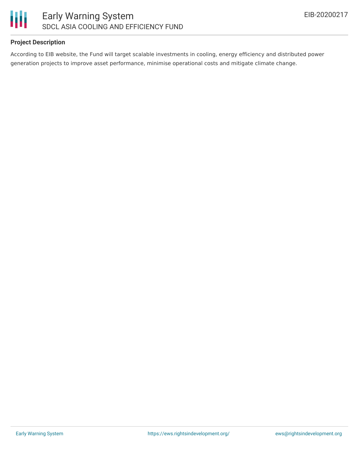

# **Project Description**

According to EIB website, the Fund will target scalable investments in cooling, energy efficiency and distributed power generation projects to improve asset performance, minimise operational costs and mitigate climate change.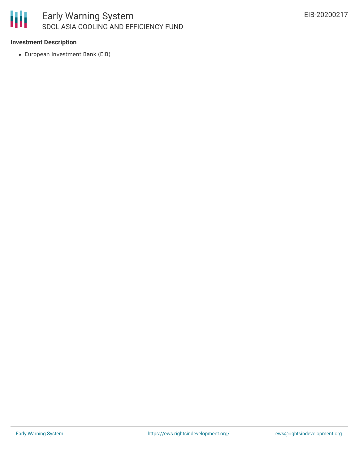

## **Investment Description**

European Investment Bank (EIB)